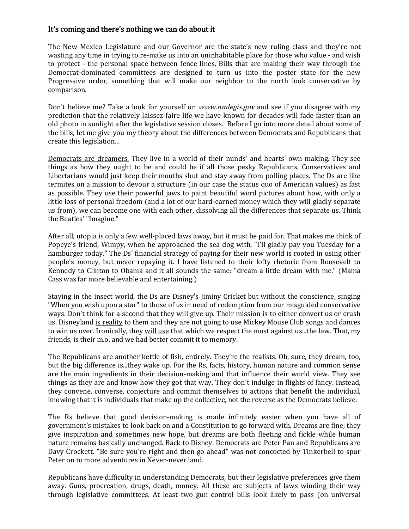## It's coming and there's nothing we can do about it

The New Mexico Legislature and our Governor are the state's new ruling class and they're not wasting any time in trying to re-make us into an uninhabitable place for those who value - and wish to protect - the personal space between fence lines. Bills that are making their way through the Democrat-dominated committees are designed to turn us into the poster state for the new Progressive order, something that will make our neighbor to the north look conservative by comparison.

Don't believe me? Take a look for yourself on *www.nmlegis.gov* and see if you disagree with my prediction that the relatively laissez-faire life we have known for decades will fade faster than an old photo in sunlight after the legislative session closes. Before I go into more detail about some of the bills, let me give you my theory about the differences between Democrats and Republicans that create this legislation...

Democrats are dreamers. They live in a world of their minds' and hearts' own making. They see things as how they ought to be and could be if all those pesky Republicans, Conservatives and Libertarians would just keep their mouths shut and stay away from polling places. The Ds are like termites on a mission to devour a structure (in our case the status quo of American values) as fast as possible. They use their powerful jaws to paint beautiful word pictures about how, with only a little loss of personal freedom (and a lot of our hard-earned money which they will gladly separate us from), we can become one with each other, dissolving all the differences that separate us. Think the Beatles' "Imagine."

After all, utopia is only a few well-placed laws away, but it must be paid for. That makes me think of Popeye's friend, Wimpy, when he approached the sea dog with, "I'll gladly pay you Tuesday for a hamburger today." The Ds' financial strategy of paying for their new world is rooted in using other people's money, but never repaying it. I have listened to their lofty rhetoric from Roosevelt to Kennedy to Clinton to Obama and it all sounds the same: "dream a little dream with me." (Mama Cass was far more believable and entertaining.)

Staying in the insect world, the Ds are Disney's Jiminy Cricket but without the conscience, singing "When you wish upon a star" to those of us in need of redemption from our misguided conservative ways. Don't think for a second that they will give up. Their mission is to either convert us or crush us. Disneyland is reality to them and they are not going to use Mickey Mouse Club songs and dances to win us over. Ironically, they will use that which we respect the most against us...the law. That, my friends, is their m.o. and we had better commit it to memory.

The Republicans are another kettle of fish, entirely. They're the realists. Oh, sure, they dream, too, but the big difference is...they wake up. For the Rs, facts, history, human nature and common sense are the main ingredients in their decision-making and that influence their world view. They see things as they are and know how they got that way. They don't indulge in flights of fancy. Instead, they convene, converse, conjecture and commit themselves to actions that benefit the individual, knowing that it is individuals that make up the collective, not the reverse as the Democrats believe.

The Rs believe that good decision-making is made infinitely easier when you have all of government's mistakes to look back on and a Constitution to go forward with. Dreams are fine; they give inspiration and sometimes new hope, but dreams are both fleeting and fickle while human nature remains basically unchanged. Back to Disney. Democrats are Peter Pan and Republicans are Davy Crockett. "Be sure you're right and then go ahead" was not concocted by Tinkerbell to spur Peter on to more adventures in Never-never land.

Republicans have difficulty in understanding Democrats, but their legislative preferences give them away. Guns, procreation, drugs, death, money. All these are subjects of laws winding their way through legislative committees. At least two gun control bills look likely to pass (on universal